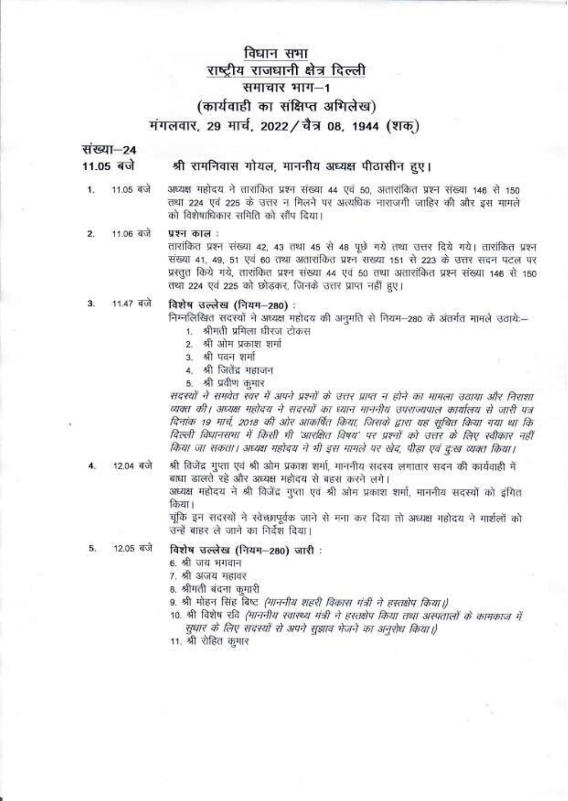# विधान सभा राष्ट्रीय राजधानी क्षेत्र दिल्ली समाचार भाग-1 (कार्यवाही का संक्षिप्त अभिलेख) मंगलवार, 29 मार्च, 2022 / चैत्र 08, 1944 (शक)

संख्या-24 11.05 बजे

## श्री रामनिवास गोयल, माननीय अध्यक्ष पीठासीन हुए।

1. 11.05 बजे

अध्यक्ष महोदय ने तारांकित प्रश्न संख्या 44 एवं 50, अतारांकित प्रश्न संख्या 146 से 150 तथा 224 एवं 225 के उत्तर न मिलने पर अत्यधिक नाराजगी जाहिर की और इस मामले को विशेषाधिकार समिति को साँप दिया।

#### 11.06 बजे पश्न काल:  $\overline{2}$

तारांकित प्रश्न संख्या 42, 43 तथा 45 से 48 पूछे गये तथा उत्तर दिये गये। तारांकित प्रश्न संख्या 41, 49, 51 एवं 60 तथा अतारांकित प्रश्न संख्या 151 से 223 के उत्तर सदन पटल पर प्रस्तुत किये गये, तारांकित प्रश्न संख्या 44 एवं 50 तथा अतारांकित प्रश्न संख्या 146 से 150 तथा 224 एवं 225 को छोडकर, जिनके उत्तर प्राप्त नहीं हुए।

#### 11.47 बजे  $3<sub>1</sub>$ विशेष उल्लेख (नियम-280) :

निम्नलिखित सदस्यों ने अध्यक्ष महोदय की अनुमति से नियम-280 के अंतर्गत मामले उठाये:--

- 1. श्रीमती प्रमिला धीरज टोकस
- 2. श्री ओम प्रकाश शर्मा
- 3 श्री पवन शर्मा
- 4. श्री जितेंद्र महाजन
- 5. श्री प्रवीण कुमार

सदस्यों ने समवेत स्वर में अपने प्रश्नों के उत्तर प्राप्त न होने का मामला उठाया और निराशा व्यक्त की। अध्यक्ष महोदय ने सदस्यों का ध्यान माननीय उपराज्यपाल कार्यालय से जारी पत्र दिनांक 19 मार्च, 2018 की ओर आकर्षित किया, जिसके द्वारा यह सूचित किया गया था कि दिल्ली विधानसभा में किसी भी 'आरक्षित विषय' पर प्रश्नों को उत्तर के लिए स्वीकार नहीं किया जा सकता। अध्यक्ष महोदय ने भी इस मामले पर खेद. पीड़ा एवं द:ख व्यक्त किया।

12.04 बजे

श्री विजेंद्र गुप्ता एवं श्री ओम प्रकाश शर्मा, माननीय सदस्य लगातार सदन की कार्यवाही में बाधा डालते रहे और अध्यक्ष महोदय से बहस करने लगे। अध्यक्ष महोदय ने श्री विजेंद्र गुप्ता एवं श्री ओम प्रकाश शर्मा, माननीय सदस्यों को इंगित किया।

चंकि इन सदस्यों ने स्वेच्छापूर्वक जाने से मना कर दिया तो अध्यक्ष गडोदय ने मार्शलों को उन्हें बाहर ले जाने का निर्देश दिया।

12.05 बजे 5.

## विशेष उल्लेख (नियम-280) जारी :

- 6. श्री जय भगवान
- 7. श्री अजय महावर
- 8. श्रीमती बंदना कुमारी
- 9. श्री मोहन सिंह बिष्ट *(माननीय शहरी विकास मंत्री ने हस्तक्षेप किया।)*
- 10. श्री विशेष रवि (माननीय स्वाख्य मंत्री ने हस्तक्षेप किया तथा अस्पतालों के कामकाज में सधार के लिए सदस्यों से अपने सुझाव भेजने का अनुरोध किया।)
- 11. श्री रोहित कमार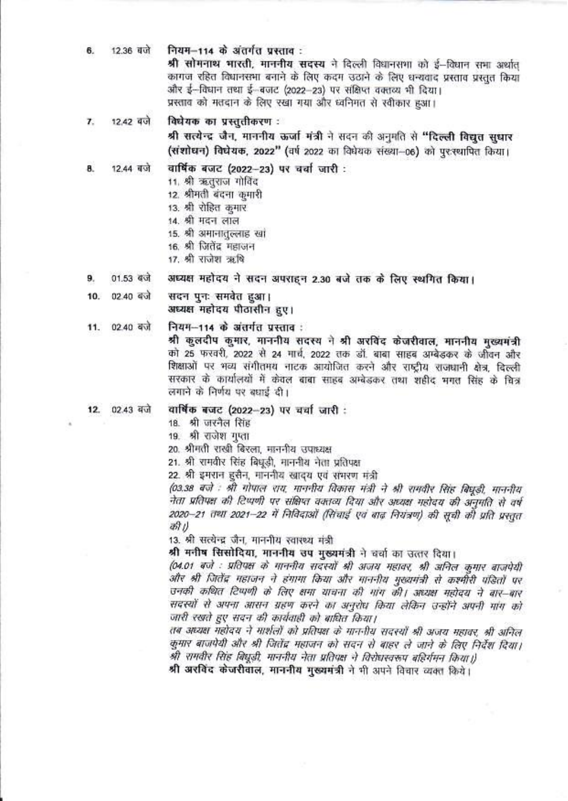12.36 बजे नियम-114 के अंतर्गत प्रस्ताव: 6.

श्री सोमनाथ भारती, माननीय सदस्य ने दिल्ली विधानसभा को ई-विधान सभा अर्थात कागज रहित विधानसभा बनाने के लिए कदम उठाने के लिए धन्यवाद प्रस्ताव प्रस्तुत किया और ई-विधान तथा ई-बजट (2022-23) पर संक्षिप्त वक्तव्य भी दिया। प्रस्ताव को मतदान के लिए रखा गया और ध्वनिमत से स्वीकार हुआ।

12.42 बजे विधेयक का प्रस्तुतीकरण :  $\mathbf{z}$ 

> श्री सत्येन्द्र जैन, माननीय ऊर्जा मंत्री ने सदन की अनुमति से "दिल्ली विद्युत सुधार (संशोधन) विघेयक, 2022" (वर्ष 2022 का विधेयक संख्या-06) को पुरस्थापित किया।

वार्षिक बजट (2022-23) पर चर्चा जारी : 8. 12.44 बजे

- 11. श्री ऋतुराज गोविंद
- 12. श्रीमती बंदना कुमारी
- 13. श्री रोहित कुमार
- 14. श्री मदन लाल
- 15. श्री अमानातुल्लाह खां
- 16. श्री जितेंद्र महाजन
- 17. श्री राजेश ऋषि

अध्यक्ष महोदय ने सदन अपराहन 2.30 बजे तक के लिए स्थगित किया। 9.  $01.53$  dvi

02.40 बजे सदन पनः समवेत हआ। 10. अध्यक्ष महोदय पीठासीन हए।

नियम--114 के अंतर्गत प्रस्ताव : 11. 02.40 बजे

> श्री कूलदीप कुमार, माननीय सदस्य ने श्री अरविंद केजरीवाल, माननीय मख्यमंत्री को 25 फरवरी, 2022 से 24 मार्च, 2022 तक डॉ. बाबा साहब अम्बेडकर के जीवन और शिक्षाओं पर भव्य संगीतमय नाटक आयोजित करने और राष्ट्रीय राजधानी क्षेत्र, दिल्ली सरकार के कार्यालयों में केवल बाबा साहब अम्बेडकर तथा शहीद मगत सिंह के चित्र लगाने के निर्णय पर बधाई दी।

12. 02.43 बजे

18. श्री जरनैल सिंह

19. श्री राजेश गुप्ता

20. श्रीमती राखी बिरला, माननीय उपाध्यक्ष

वार्षिक बजट (2022-23) पर चर्चा जारी :

21. श्री रामवीर सिंह बिधूडी, माननीय नेता प्रतिपक्ष

22. श्री इमरान हसैन, माननीय खादय एवं संभरण मंत्री

(03.38 बजे : श्री गोपाल राय. माननीय विकास मंत्री ने श्री रामवीर सिंह बिघुडी, माननीय नेता प्रतिपक्ष की टिप्पणी पर संक्षिप्त वक्तव्य दिया और अध्यक्ष महोदय की अनुमति से वर्ष 2020–21 तथा 2021–22 में निविदाओं (सिंचाई एवं बाद नियंत्रण) की सूची को प्रति प्रस्तत की।

13. श्री सत्येन्द्र जैन, माननीय स्वारस्थ मंत्री

श्री मनीष सिसोदिया, माननीय उप मुख्यमंत्री ने चर्चा का उत्तर दिया।

(04.01 बजे : प्रतिपक्ष के गाननीय सदस्यों श्री अजय महावर, श्री अनिल कुमार बाजपेयी और श्री जितेंद्र महाजन ने हंगामा किया और माननीय मुख्यमंत्री से कश्मीरी पंडितों पर उनकी कथित टिप्पणी के लिए क्षमा याचना की गांग की। अध्यक्ष महोदय ने बार-बार सदस्यों से अपना आसन ग्रहण करने का अनुरोध किया लेकिन उन्होंने अपनी मांग को जारी रखते हुए सदन की कार्यवाही को बाघित किया।

तब अध्यक्ष महोदय ने मार्शलों को प्रतिपक्ष के माननीय सदस्यों श्री अजय महावर, श्री अनिल कुमार बाजपेयी और श्री जितेंद्र महाजन को सदन से बाहर ले जाने के लिए निर्देश दिया। श्री रामवीर सिंह बिघुडी, माननीय नेता प्रतिपक्ष ने विरोधस्वरूप बहिर्गमन किया।)

श्री अरविंद केजरीवाल, माननीय मुख्यमंत्री ने भी अपने विचार व्यक्त किये।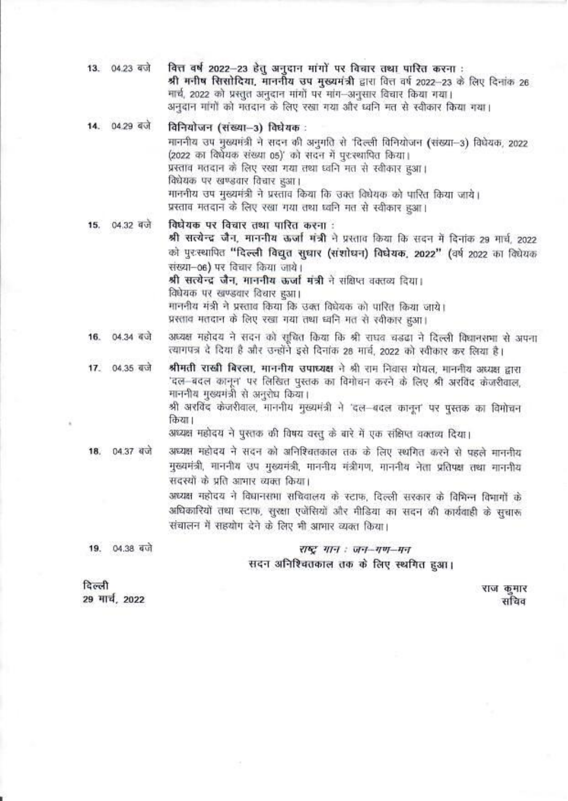| 13. 04.23 बजे            |               | वित्त वर्ष 2022–23 हेतु अनुदान मांगों पर विचार तथा पारित करना :<br>श्री मनीष सिसोदिया, माननीय उप मुख्यमंत्री द्वारा वित्त वर्ष 2022-23 के लिए दिनांक 26<br>मार्च, 2022 को प्रस्तुत अनुदान मांगों पर मांग-अनुसार विचार किया गया।<br>अनुदान मांगों को मतदान के लिए रखा गया और ध्वनि मत से स्वीकार किया गया।                                                                                                                                                                                     |
|--------------------------|---------------|-----------------------------------------------------------------------------------------------------------------------------------------------------------------------------------------------------------------------------------------------------------------------------------------------------------------------------------------------------------------------------------------------------------------------------------------------------------------------------------------------|
|                          | 14. 04.29 बजे | विनियोजन (संख्या—3) विघेयक :<br>माननीय उप मुख्यमंत्री ने सदन की अनुमति से 'दिल्ली विनियोजन (संख्या-3) विधेयक, 2022<br>(2022 का विधेयक संख्या 05)' को सदन में पुर:स्थापित किया।<br>प्रस्ताव मतदान के लिए रखा गया तथा ध्वनि मत से स्वीकार हुआ।<br>विधेयक पर खण्डवार विचार हुआ।<br>माननीय उप मुख्यमंत्री ने प्रस्ताव किया कि उक्त विघेयक को पारित किया जाये।<br>प्रस्ताव मतदान के लिए रखा गया तथा ध्वनि मत से स्वीकार हुआ।                                                                       |
|                          | 15. 04.32 बजे | विघेयक पर विचार तथा पारित करना :<br>श्री सत्येन्द्र जैन, माननीय ऊर्जा मंत्री ने प्रस्ताव किया कि सदन में दिनांक 29 मार्च, 2022<br>को पुरस्थापित "दिल्ली विद्युत सुधार (संशोधन) विधेयक, 2022" (वर्ष 2022 का विधेयक<br>संख्या-06) पर विचार किया जाये।<br>श्री सत्येन्द्र जैन, माननीय ऊर्जा मंत्री ने संक्षिप्त वक्तव्य दिया।<br>विधेयक पर खण्डवार विचार हुआ।<br>माननीय मंत्री ने प्रस्ताव किया कि उक्त विधेयक को पारित किया जाये।<br>प्रस्ताव मतदान के लिए रखा गया तथा ध्वनि मत से स्वीकार हुआ। |
| 16.                      | 04.34 बजे     | अध्यक्ष महोदय ने सदन को सूचित किया कि श्री राघव चड़ढा ने दिल्ली विघानसभा से अपना<br>त्यागपत्र दे दिया है और उन्होंने इसे दिनांक 28 मार्च, 2022 को स्वीकार कर लिया है।                                                                                                                                                                                                                                                                                                                         |
| 17.                      | 04.35 बजे     | श्रीमती राखी बिरला, माननीय उपाध्यक्ष ने श्री राम निवास गोयल, माननीय अध्यक्ष द्वारा<br>'दल—बदल कानून' पर लिखित पुस्तक का विमोचन करने के लिए श्री अरविंद केजरीवाल,<br>माननीय मुख्यमंत्री से अनुरोध किया।<br>श्री अरविंद केजरीवाल, माननीय मुख्यमंत्री ने 'दल—बदल कानून' पर पुस्तक का विमोचन<br>किया।<br>अध्यक्ष महोदय ने पुस्तक की विषय वस्तु के बारे में एक संक्षिप्त वक्तव्य दिया।                                                                                                             |
| 18.                      | 04.37 बजे     | अध्यक्ष महोदय ने सदन को अनिश्चितकाल तक के लिए स्थगित करने से पहले माननीय<br>मुख्यमंत्री, माननीय उप मुख्यमंत्री, माननीय मंत्रीगण, माननीय नेता प्रतिपक्ष तथा माननीय<br>सदस्यों के प्रति आमार व्यक्त किया।<br>अध्यक्ष महोदय ने विधानसभा सचिवालय के स्टाफ, दिल्ली सरकार के विभिन्न विभागों के<br>अधिकारियों तथा स्टाफ, सुरक्षा एजेंसियों और मीडिया का सदन की कार्यवाही के सुचारू<br>संचालन में सहयोग देने के लिए भी आभार व्यक्त किया।                                                             |
| 19.                      | 04.38 बजे     | राष्ट्र गान : जन-गण-मन                                                                                                                                                                                                                                                                                                                                                                                                                                                                        |
|                          |               | सदन अनिश्चितकाल तक के लिए स्थगित हुआ।                                                                                                                                                                                                                                                                                                                                                                                                                                                         |
| दिल्ली<br>29 मार्च, 2022 |               | राज कुमार<br>सचिव                                                                                                                                                                                                                                                                                                                                                                                                                                                                             |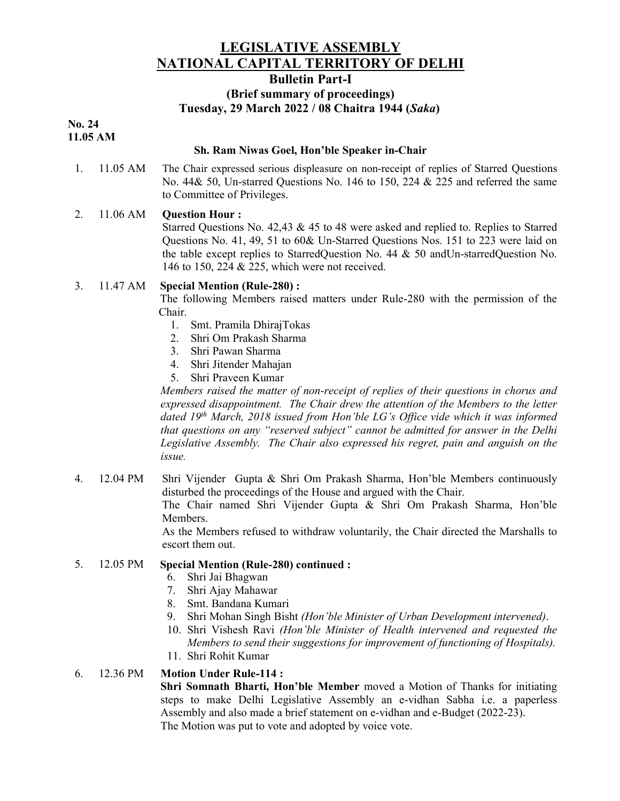## LEGISLATIVE ASSEMBLY NATIONAL CAPITAL TERRITORY OF DELHI

#### Bulletin Part-I

## (Brief summary of proceedings) Tuesday, 29 March 2022 / 08 Chaitra 1944 (Saka)

#### No. 24 11.05 AM

#### Sh. Ram Niwas Goel, Hon'ble Speaker in-Chair

1. 11.05 AM The Chair expressed serious displeasure on non-receipt of replies of Starred Questions No. 44& 50, Un-starred Questions No. 146 to 150, 224 & 225 and referred the same to Committee of Privileges.

### 2. 11.06 AM Question Hour :

Starred Questions No. 42,43 & 45 to 48 were asked and replied to. Replies to Starred Questions No. 41, 49, 51 to 60& Un-Starred Questions Nos. 151 to 223 were laid on the table except replies to StarredQuestion No. 44 & 50 andUn-starredQuestion No. 146 to 150, 224 & 225, which were not received.

#### 3. 11.47 AM Special Mention (Rule-280) :

The following Members raised matters under Rule-280 with the permission of the Chair.

- 1. Smt. Pramila DhirajTokas
- 2. Shri Om Prakash Sharma
- 3. Shri Pawan Sharma
- 4. Shri Jitender Mahajan
- 5. Shri Praveen Kumar

Members raised the matter of non-receipt of replies of their questions in chorus and expressed disappointment. The Chair drew the attention of the Members to the letter dated 19<sup>th</sup> March, 2018 issued from Hon'ble LG's Office vide which it was informed that questions on any "reserved subject" cannot be admitted for answer in the Delhi Legislative Assembly. The Chair also expressed his regret, pain and anguish on the issue.

4. 12.04 PM Shri Vijender Gupta & Shri Om Prakash Sharma, Hon'ble Members continuously disturbed the proceedings of the House and argued with the Chair. The Chair named Shri Vijender Gupta & Shri Om Prakash Sharma, Hon'ble Members. As the Members refused to withdraw voluntarily, the Chair directed the Marshalls to

escort them out.

### 5. 12.05 PM Special Mention (Rule-280) continued :

- 6. Shri Jai Bhagwan
- 7. Shri Ajay Mahawar
- 8. Smt. Bandana Kumari
- 9. Shri Mohan Singh Bisht (Hon'ble Minister of Urban Development intervened).
- 10. Shri Vishesh Ravi (Hon'ble Minister of Health intervened and requested the Members to send their suggestions for improvement of functioning of Hospitals).
- 11. Shri Rohit Kumar

#### 6. 12.36 PM Motion Under Rule-114 :

Shri Somnath Bharti, Hon'ble Member moved a Motion of Thanks for initiating steps to make Delhi Legislative Assembly an e-vidhan Sabha i.e. a paperless Assembly and also made a brief statement on e-vidhan and e-Budget (2022-23). The Motion was put to vote and adopted by voice vote.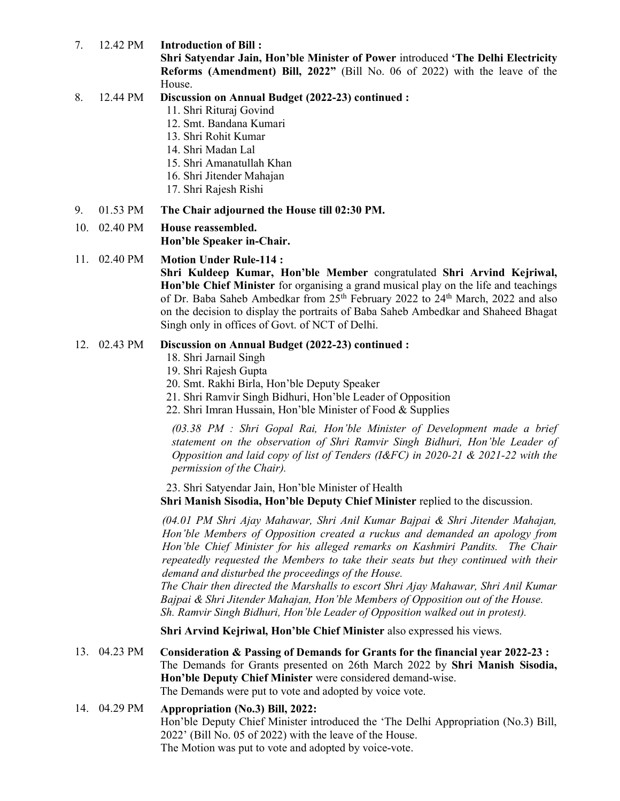7. 12.42 PM Introduction of Bill :

Shri Satyendar Jain, Hon'ble Minister of Power introduced 'The Delhi Electricity Reforms (Amendment) Bill, 2022" (Bill No. 06 of 2022) with the leave of the House.

- 8. 12.44 PM Discussion on Annual Budget (2022-23) continued :
	- 11. Shri Rituraj Govind
	- 12. Smt. Bandana Kumari
	- 13. Shri Rohit Kumar
	- 14. Shri Madan Lal
	- 15. Shri Amanatullah Khan
	- 16. Shri Jitender Mahajan
	- 17. Shri Rajesh Rishi
- 9. 01.53 PM The Chair adjourned the House till 02:30 PM.

### 10. 02.40 PM House reassembled.

Hon'ble Speaker in-Chair.

#### 11. 02.40 PM Motion Under Rule-114 :

Shri Kuldeep Kumar, Hon'ble Member congratulated Shri Arvind Kejriwal, Hon'ble Chief Minister for organising a grand musical play on the life and teachings of Dr. Baba Saheb Ambedkar from 25<sup>th</sup> February 2022 to 24<sup>th</sup> March, 2022 and also on the decision to display the portraits of Baba Saheb Ambedkar and Shaheed Bhagat Singh only in offices of Govt. of NCT of Delhi.

#### 12. 02.43 PM Discussion on Annual Budget (2022-23) continued :

- 18. Shri Jarnail Singh
- 19. Shri Rajesh Gupta
- 20. Smt. Rakhi Birla, Hon'ble Deputy Speaker
- 21. Shri Ramvir Singh Bidhuri, Hon'ble Leader of Opposition
- 22. Shri Imran Hussain, Hon'ble Minister of Food & Supplies

(03.38 PM : Shri Gopal Rai, Hon'ble Minister of Development made a brief statement on the observation of Shri Ramvir Singh Bidhuri, Hon'ble Leader of Opposition and laid copy of list of Tenders (I&FC) in 2020-21 & 2021-22 with the permission of the Chair).

23. Shri Satyendar Jain, Hon'ble Minister of Health Shri Manish Sisodia, Hon'ble Deputy Chief Minister replied to the discussion.

(04.01 PM Shri Ajay Mahawar, Shri Anil Kumar Bajpai & Shri Jitender Mahajan, Hon'ble Members of Opposition created a ruckus and demanded an apology from Hon'ble Chief Minister for his alleged remarks on Kashmiri Pandits. The Chair repeatedly requested the Members to take their seats but they continued with their demand and disturbed the proceedings of the House.

The Chair then directed the Marshalls to escort Shri Ajay Mahawar, Shri Anil Kumar Bajpai & Shri Jitender Mahajan, Hon'ble Members of Opposition out of the House. Sh. Ramvir Singh Bidhuri, Hon'ble Leader of Opposition walked out in protest).

Shri Arvind Kejriwal, Hon'ble Chief Minister also expressed his views.

13. 04.23 PM Consideration & Passing of Demands for Grants for the financial year 2022-23 : The Demands for Grants presented on 26th March 2022 by Shri Manish Sisodia, Hon'ble Deputy Chief Minister were considered demand-wise. The Demands were put to vote and adopted by voice vote.

## 14. 04.29 PM Appropriation (No.3) Bill, 2022: Hon'ble Deputy Chief Minister introduced the 'The Delhi Appropriation (No.3) Bill,

2022' (Bill No. 05 of 2022) with the leave of the House. The Motion was put to vote and adopted by voice-vote.